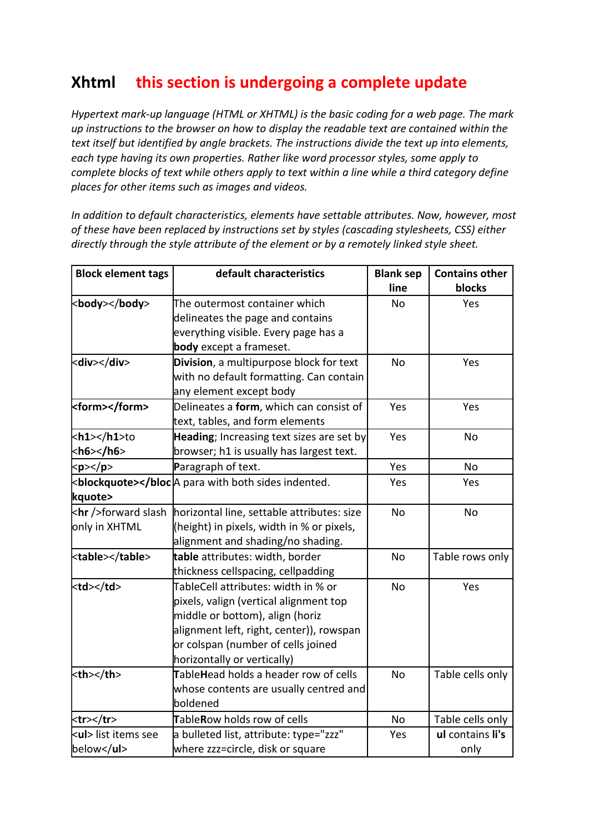## **Xhtml this section is undergoing a complete update**

*Hypertext mark-up language (HTML or XHTML) is the basic coding for a web page. The mark up instructions to the browser on how to display the readable text are contained within the text itself but identified by angle brackets. The instructions divide the text up into elements, each type having its own properties. Rather like word processor styles, some apply to complete blocks of text while others apply to text within a line while a third category define places for other items such as images and videos.*

*In addition to default characteristics, elements have settable attributes. Now, however, most of these have been replaced by instructions set by styles (cascading stylesheets, CSS) either directly through the style attribute of the element or by a remotely linked style sheet.*

| <b>Block element tags</b> | default characteristics                           | <b>Blank sep</b>                    | <b>Contains other</b>                 |           |                  |
|---------------------------|---------------------------------------------------|-------------------------------------|---------------------------------------|-----------|------------------|
|                           |                                                   | line                                | blocks                                |           |                  |
| <body></body>             | The outermost container which                     | <b>No</b>                           | Yes                                   |           |                  |
|                           | delineates the page and contains                  |                                     |                                       |           |                  |
|                           | everything visible. Every page has a              |                                     |                                       |           |                  |
|                           | body except a frameset.                           |                                     |                                       |           |                  |
| <div></div>               | Division, a multipurpose block for text           | <b>No</b>                           | Yes                                   |           |                  |
|                           | with no default formatting. Can contain           |                                     |                                       |           |                  |
|                           | any element except body                           |                                     |                                       |           |                  |
| <form></form>             | Delineates a form, which can consist of           | Yes                                 | Yes                                   |           |                  |
|                           | text, tables, and form elements                   |                                     |                                       |           |                  |
| kh1>to                    | Heading; Increasing text sizes are set by         | Yes                                 | <b>No</b>                             |           |                  |
| $<$ h6>                   | browser; h1 is usually has largest text.          |                                     |                                       |           |                  |
| $<$ p>                    | Paragraph of text.                                | Yes                                 | No                                    |           |                  |
|                           | <blockquote><td>Yes</td><td>Yes</td></blockquote> | Yes                                 | Yes                                   |           |                  |
| kquote>                   |                                                   |                                     |                                       |           |                  |
| <hr/> forward slash       | horizontal line, settable attributes: size        | <b>No</b>                           | <b>No</b>                             |           |                  |
| only in XHTML             | (height) in pixels, width in % or pixels,         |                                     |                                       |           |                  |
|                           | alignment and shading/no shading.                 |                                     |                                       |           |                  |
| <table></table>           | table attributes: width, border                   | No                                  | Table rows only                       |           |                  |
|                           | thickness cellspacing, cellpadding                |                                     |                                       |           |                  |
| <td></td>                 |                                                   | TableCell attributes: width in % or | <b>No</b>                             | Yes       |                  |
|                           | pixels, valign (vertical alignment top            |                                     |                                       |           |                  |
|                           | middle or bottom), align (horiz                   |                                     |                                       |           |                  |
|                           | alignment left, right, center)), rowspan          |                                     |                                       |           |                  |
|                           | or colspan (number of cells joined                |                                     |                                       |           |                  |
|                           | horizontally or vertically)                       |                                     |                                       |           |                  |
| <th><th>&lt;</th></th>    | <th>&lt;</th>                                     | <                                   | TableHead holds a header row of cells | <b>No</b> | Table cells only |
|                           | whose contents are usually centred and            |                                     |                                       |           |                  |
|                           | boldened                                          |                                     |                                       |           |                  |
| <tr></tr>                 | TableRow holds row of cells                       | No                                  | Table cells only                      |           |                  |
|                           |                                                   |                                     |                                       |           |                  |
| kul> list items see       | a bulleted list, attribute: type="zzz"            | Yes                                 | ul contains li's                      |           |                  |
| below                     | where zzz=circle, disk or square                  |                                     | only                                  |           |                  |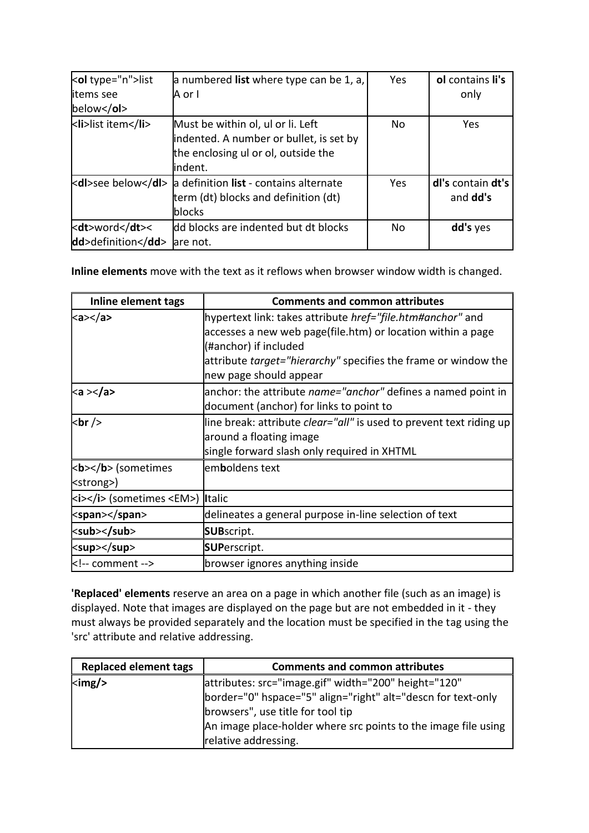| <ol type="n">list</ol>           | a numbered list where type can be 1, a,                                                                                         | Yes | ol contains li's              |
|----------------------------------|---------------------------------------------------------------------------------------------------------------------------------|-----|-------------------------------|
| litems see                       | A or I                                                                                                                          |     | only                          |
| $below <$ /ol>                   |                                                                                                                                 |     |                               |
| <li>list item</li>               | Must be within ol, ul or li. Left<br>indented. A number or bullet, is set by<br>the enclosing ul or ol, outside the<br>lindent. | No  | Yes                           |
| <dl>see below</dl>               | a definition list - contains alternate<br>term (dt) blocks and definition (dt)<br>blocks                                        | Yes | dl's contain dt's<br>and dd's |
| <dt>word</dt> <<br>dd>definition | dd blocks are indented but dt blocks<br>lare not.                                                                               | No  | dd's yes                      |

**Inline elements** move with the text as it reflows when browser window width is changed.

| Inline element tags              | <b>Comments and common attributes</b>                                      |
|----------------------------------|----------------------------------------------------------------------------|
| <a></a>                          | hypertext link: takes attribute href="file.htm#anchor" and                 |
|                                  | accesses a new web page(file.htm) or location within a page                |
|                                  | (#anchor) if included                                                      |
|                                  | attribute <i>target="hierarchy"</i> specifies the frame or window the      |
|                                  | new page should appear                                                     |
| ka >                             | anchor: the attribute <i>name="anchor"</i> defines a named point in        |
|                                  | document (anchor) for links to point to                                    |
| <br>br/>                         | line break: attribute <i>clear="all"</i> is used to prevent text riding up |
|                                  | around a floating image                                                    |
|                                  | single forward slash only required in XHTML                                |
| kb> (sometimes                   | emboldens text                                                             |
| <strong>)</strong>               |                                                                            |
| ki> (sometimes <em>) Italic</em> |                                                                            |
| <span></span>                    | delineates a general purpose in-line selection of text                     |
| <sub></sub>                      | <b>SUB</b> script.                                                         |
| <sup></sup>                      | <b>SUPerscript.</b>                                                        |
| comment                          | browser ignores anything inside                                            |

**'Replaced' elements** reserve an area on a page in which another file (such as an image) is displayed. Note that images are displayed on the page but are not embedded in it - they must always be provided separately and the location must be specified in the tag using the 'src' attribute and relative addressing.

| <b>Replaced element tags</b>  | <b>Comments and common attributes</b>                                                                                                                                                                                       |
|-------------------------------|-----------------------------------------------------------------------------------------------------------------------------------------------------------------------------------------------------------------------------|
| $\langle \text{img}/ \rangle$ | attributes: src="image.gif" width="200" height="120"<br>border="0" hspace="5" align="right" alt="descn for text-only<br>browsers", use title for tool tip<br>An image place-holder where src points to the image file using |
|                               |                                                                                                                                                                                                                             |
|                               |                                                                                                                                                                                                                             |
|                               |                                                                                                                                                                                                                             |
|                               | relative addressing.                                                                                                                                                                                                        |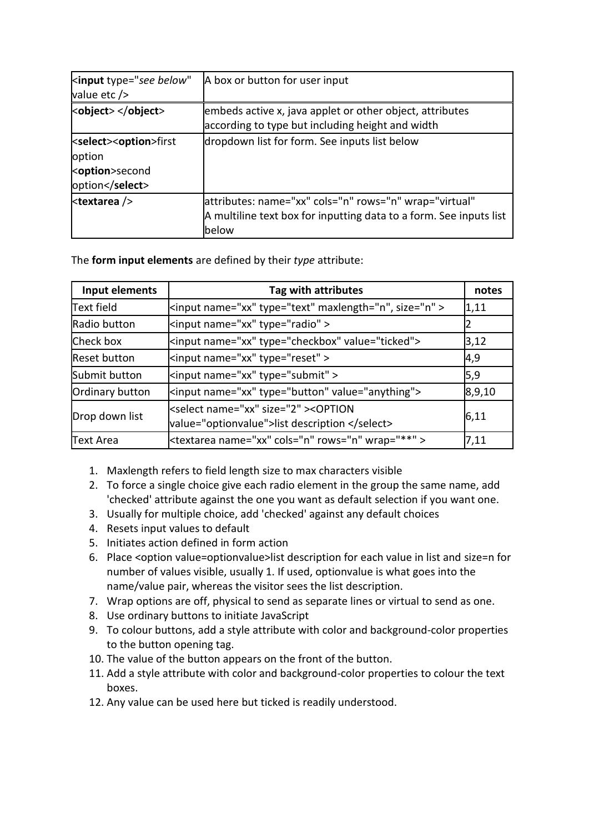| <input <br="" type="see below"/> value etc />                                             | A box or button for user input                                                                                                         |
|-------------------------------------------------------------------------------------------|----------------------------------------------------------------------------------------------------------------------------------------|
| <object> </object>                                                                        | embeds active x, java applet or other object, attributes<br>according to type but including height and width                           |
| <select><option>first<br/>option<br/><br/> koption&gt;second<br/>option</option></select> | dropdown list for form. See inputs list below                                                                                          |
| <textarea></textarea>                                                                     | attributes: name="xx" cols="n" rows="n" wrap="virtual"<br>A multiline text box for inputting data to a form. See inputs list<br>lbelow |

The **form input elements** are defined by their *type* attribute:

| Input elements      | Tag with attributes                                                                                 | notes  |
|---------------------|-----------------------------------------------------------------------------------------------------|--------|
| <b>Text field</b>   | <input ,="" maxlength="n" name="xx" size="n" type="text"/>                                          | 1,11   |
| Radio button        | <input name="xx" type="radio"/>                                                                     |        |
| Check box           | <input name="xx" type="checkbox" value="ticked"/>                                                   | 3,12   |
| <b>Reset button</b> | <input name="xx" type="reset"/>                                                                     | 4,9    |
| Submit button       | <input name="xx" type="submit"/>                                                                    | 5,9    |
| Ordinary button     | <input name="xx" type="button" value="anything"/>                                                   | 8,9,10 |
| Drop down list      | <select name="xx" size="2"><option<br>value="optionvalue"&gt;list description </option<br></select> | 6,11   |
| <b>Text Area</b>    | <textarea cols="n" name="xx" rows="n" wrap="**"></textarea>                                         | 7,11   |

- 1. Maxlength refers to field length size to max characters visible
- 2. To force a single choice give each radio element in the group the same name, add 'checked' attribute against the one you want as default selection if you want one.
- 3. Usually for multiple choice, add 'checked' against any default choices
- 4. Resets input values to default
- 5. Initiates action defined in form action
- 6. Place <option value=optionvalue>list description for each value in list and size=n for number of values visible, usually 1. If used, optionvalue is what goes into the name/value pair, whereas the visitor sees the list description.
- 7. Wrap options are off, physical to send as separate lines or virtual to send as one.
- 8. Use ordinary buttons to initiate JavaScript
- 9. To colour buttons, add a style attribute with color and background-color properties to the button opening tag.
- 10. The value of the button appears on the front of the button.
- 11. Add a style attribute with color and background-color properties to colour the text boxes.
- 12. Any value can be used here but ticked is readily understood.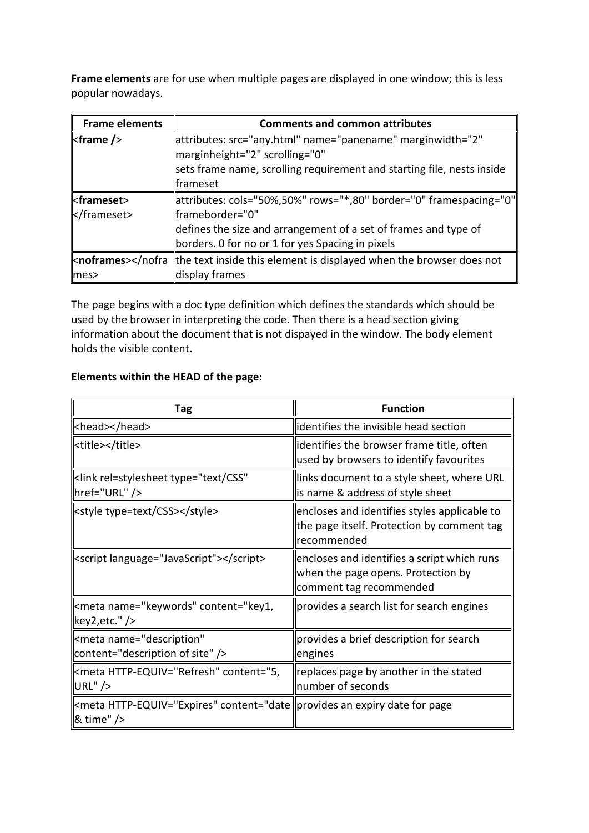**Frame elements** are for use when multiple pages are displayed in one window; this is less popular nowadays.

| <b>Frame elements</b>      | <b>Comments and common attributes</b>                                                                                                                                                                        |
|----------------------------|--------------------------------------------------------------------------------------------------------------------------------------------------------------------------------------------------------------|
| $<$ frame $/$              | attributes: src="any.html" name="panename" marginwidth="2"<br>marginheight="2" scrolling="0"<br>sets frame name, scrolling requirement and starting file, nests inside<br>llframeset                         |
| <frameset><br/></frameset> | "attributes: cols="50%,50%" rows="*,80" border="0" framespacing="0<br>"frameborder="0<br>defines the size and arrangement of a set of frames and type of<br>borders. 0 for no or 1 for yes Spacing in pixels |
| knoframes>mes <sub>2</sub> | the text inside this element is displayed when the browser does not<br>display frames                                                                                                                        |

The page begins with a doc type definition which defines the standards which should be used by the browser in interpreting the code. Then there is a head section giving information about the document that is not dispayed in the window. The body element holds the visible content.

## **Elements within the HEAD of the page:**

| Tag                                                                                                  | <b>Function</b>                                                                                              |  |  |
|------------------------------------------------------------------------------------------------------|--------------------------------------------------------------------------------------------------------------|--|--|
| <head></head>                                                                                        | lidentifies the invisible head section                                                                       |  |  |
| <title></title>                                                                                      | identifies the browser frame title, often<br>used by browsers to identify favourites                         |  |  |
| <link <br="" rel="stylesheet" type="text/CSS"/>   href="URL" />                                      | links document to a style sheet, where URL<br>is name & address of style sheet                               |  |  |
| <style type="text/CSS"></style>                                                                      | encloses and identifies styles applicable to<br>the page itself. Protection by comment tag<br> recommended   |  |  |
| <script language="JavaScript"></script>                                                              | encloses and identifies a script which runs<br>when the page opens. Protection by<br>comment tag recommended |  |  |
| <meta content="key1,&lt;br&gt;  key2,etc." name="keywords"/>                                         | provides a search list for search engines                                                                    |  |  |
| <meta <br="" name="description"/>   content="description of site" />                                 | provides a brief description for search<br>engines                                                           |  |  |
| kmeta HTTP-EQUIV="Refresh" content="5," <br>$ URL"$ />                                               | replaces page by another in the stated<br>number of seconds                                                  |  |  |
| <meta content="date   provides an expiry date for page&lt;br&gt;  &amp; time" http-equiv="Expires"/> |                                                                                                              |  |  |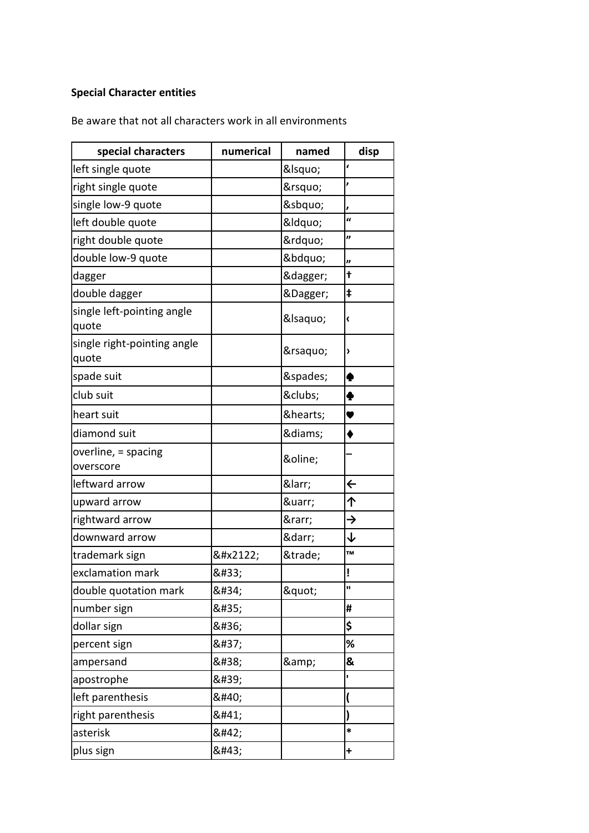## **Special Character entities**

Be aware that not all characters work in all environments

| special characters                   | numerical | named   | disp           |
|--------------------------------------|-----------|---------|----------------|
| left single quote                    |           | &Isquo  | ł              |
| right single quote                   |           | '       |                |
| single low-9 quote                   |           | '       |                |
| left double quote                    |           | &Idquo  | $\overline{a}$ |
| right double quote                   |           | "       | "              |
| double low-9 quote                   |           | "       | "              |
| dagger                               |           | †       | t              |
| double dagger                        |           | ‡       | ŧ              |
| single left-pointing angle<br>quote  |           | &Isaquo | ‹              |
| single right-pointing angle<br>quote |           | ›       | >              |
| spade suit                           |           | ♠       | ♠              |
| club suit                            |           | ♣       | Ф              |
| heart suit                           |           | ♥       | v              |
| diamond suit                         |           | ♦       | ٠              |
| overline, = spacing<br>overscore     |           | ‾       |                |
| leftward arrow                       |           | ←       | $\leftarrow$   |
| upward arrow                         |           | ↑       | 个              |
| rightward arrow                      |           | →       | →              |
| downward arrow                       |           | ↓       | ↓              |
| trademark sign                       | ™         | ™       | TM             |
| exclamation mark                     | !         |         | ļ              |
| double quotation mark                | "         | "       | П              |
| number sign                          | #         |         | #              |
| dollar sign                          | \$        |         | \$             |
| percent sign                         | %         |         | ℅              |
| ampersand                            | &         | &       | &              |
| apostrophe                           | '         |         | ı.             |
| left parenthesis                     | (         |         |                |
| right parenthesis                    | )         |         |                |
| asterisk                             | *         |         | *              |
| plus sign                            | +         |         | $\ddot{}$      |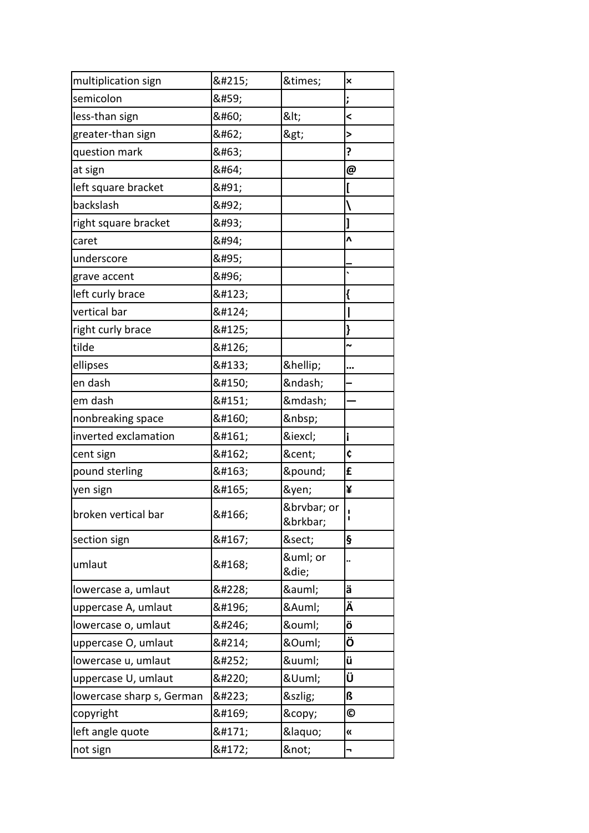| multiplication sign       | × | ×               | ×                     |
|---------------------------|---|-----------------|-----------------------|
| semicolon                 | ; |                 | ;                     |
| less-than sign            | < | <               | $\prec$               |
| greater-than sign         | > | >               | $\geq$                |
| question mark             | ? |                 | ?                     |
| at sign                   | @ |                 | @                     |
| left square bracket       | [ |                 | [                     |
| backslash                 | \ |                 |                       |
| right square bracket      | ] |                 |                       |
| caret                     | ^ |                 | $\lambda$             |
| underscore                | _ |                 |                       |
| grave accent              | ` |                 |                       |
| left curly brace          | { |                 | {                     |
| vertical bar              |   |                 |                       |
| right curly brace         | } |                 |                       |
| tilde                     | ~ |                 | $\ddot{ }$            |
| ellipses                  | … | …               |                       |
| en dash                   | – | –               |                       |
| em dash                   | — | —               |                       |
| nonbreaking space         |   |                 |                       |
| inverted exclamation      | ¡ | ¡               | i                     |
| cent sign                 | ¢ | ¢               | ¢                     |
| pound sterling            | £ | £               | £                     |
| yen sign                  | ¥ | ¥               | ¥                     |
| broken vertical bar       | ¦ | ¦ or<br>&brkbar | Ţ<br>ı                |
| section sign              | § | §               | ş                     |
| umlaut                    | ¨ | ¨ or<br>¨       |                       |
| lowercase a, umlaut       | ä | ä               | ä                     |
| uppercase A, umlaut       | Ä | Ä               | Ä                     |
| lowercase o, umlaut       | ö | ö               | ö                     |
| uppercase O, umlaut       | Ö | Ö               | Ö                     |
| lowercase u, umlaut       | ü | ü               | ü                     |
| uppercase U, umlaut       | Ü | Ü               | Ü                     |
| lowercase sharp s, German | ß | ß               | ß                     |
| copyright                 | © | ©               | O                     |
| left angle quote          | « | «               | $\boldsymbol{\kappa}$ |
| not sign                  | ¬ | ¬               | -                     |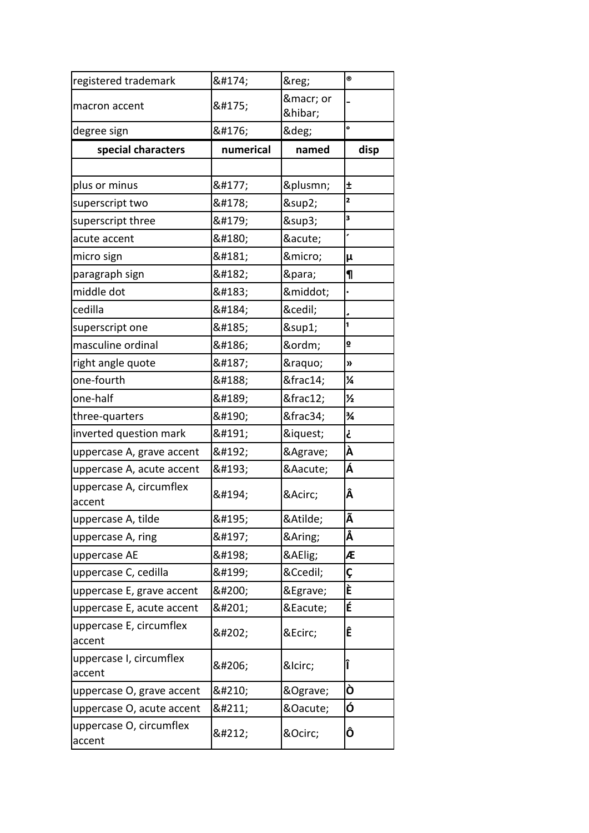| registered trademark              | ®         | ®              | $^{\circ}$              |
|-----------------------------------|-----------|----------------|-------------------------|
| macron accent                     | ¯         | ¯ or<br>&hibar |                         |
| degree sign                       | °         | °              | o                       |
| special characters                | numerical | named          | disp                    |
|                                   |           |                |                         |
| plus or minus                     | ±         | ±              | Ŧ                       |
| superscript two                   | ²         | ²              | 2                       |
| superscript three                 | ³         | ³              | 3                       |
| acute accent                      | ´         | ´              | ,                       |
| micro sign                        | µ         | µ              | μ                       |
| paragraph sign                    | ¶         | ¶              | $\P$                    |
| middle dot                        | ·         | ·              |                         |
| cedilla                           | ¸         | ¸              |                         |
| superscript one                   | ¹         | ¹              | 1                       |
| masculine ordinal                 | º         | º              | $\overline{\mathbf{Q}}$ |
| right angle quote                 | »         | »              | »                       |
| one-fourth                        | ¼         | ¼              | $\frac{1}{4}$           |
| one-half                          | ½         | ½              | $\frac{1}{2}$           |
| three-quarters                    | ¾         | ¾              | ¾                       |
| inverted question mark            | ¿         | ¿              | خ                       |
| uppercase A, grave accent         | À         | À              | À                       |
| uppercase A, acute accent         | Á         | Á              | Á                       |
| uppercase A, circumflex<br>accent | Â         | Â              | Â                       |
| uppercase A, tilde                | Ã         | Ã              | Ã                       |
| uppercase A, ring                 | Å         | Å              | Å                       |
| uppercase AE                      | Æ         | Æ              | Æ                       |
| uppercase C, cedilla              | Ç         | Ç              | Ç                       |
| uppercase E, grave accent         | È         | È              | È                       |
| uppercase E, acute accent         | É         | É              | É                       |
| uppercase E, circumflex<br>accent | Ê         | Ê              | Ê                       |
| uppercase I, circumflex<br>accent | Î         | Î              | Î                       |
| uppercase O, grave accent         | Ò         | Ò              | Ò                       |
| uppercase O, acute accent         | Ó         | Ó              | Ó                       |
| uppercase O, circumflex<br>accent | Ô         | Ô              | Ô                       |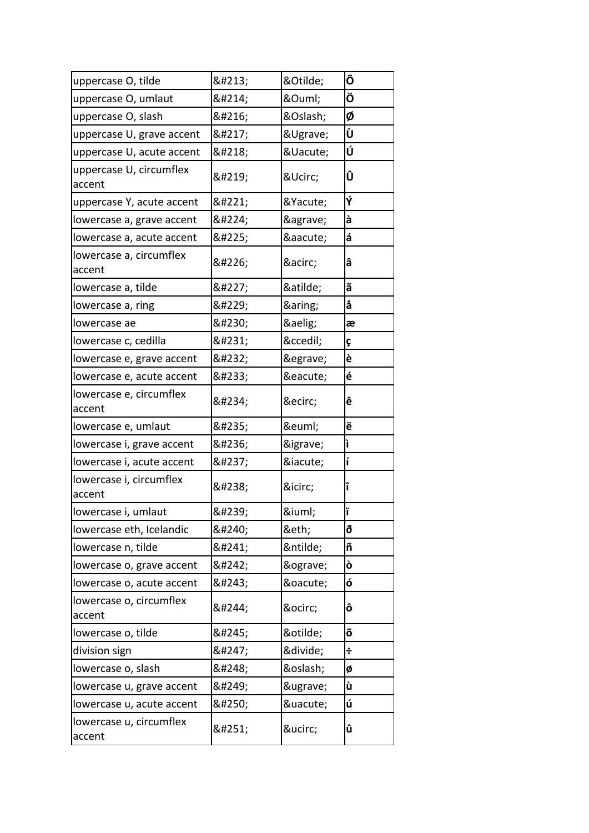| uppercase O, tilde                | Õ | Õ | Õ |
|-----------------------------------|---|---|---|
| uppercase O, umlaut               | Ö | Ö | Ö |
| uppercase O, slash                | Ø | Ø | Ø |
| uppercase U, grave accent         | Ù | Ù | Ù |
| uppercase U, acute accent         | Ú | Ú | Ú |
| uppercase U, circumflex<br>accent | Û | Û | Û |
| uppercase Y, acute accent         | Ý | Ý | Ý |
| lowercase a, grave accent         | à | à | à |
| lowercase a, acute accent         | á | á | á |
| lowercase a, circumflex<br>accent | â | â | â |
| lowercase a, tilde                | ã | ã | ã |
| lowercase a, ring                 | å | å | å |
| lowercase ae                      | æ | æ | æ |
| lowercase c, cedilla              | ç | ç | Ç |
| lowercase e, grave accent         | è | è | è |
| lowercase e, acute accent         | é | é | é |
| lowercase e, circumflex<br>accent | ê | ê | ê |
| lowercase e, umlaut               | ë | ë | ë |
| lowercase i, grave accent         | ì | ì | ì |
| lowercase i, acute accent         | í | í | í |
| lowercase i, circumflex<br>accent | î | î | î |
| lowercase i, umlaut               | ï | ï |   |
| lowercase eth, Icelandic          | ð | ð | ð |
| lowercase n, tilde                | ñ | ñ | ñ |
| lowercase o, grave accent         | ò | ò | ò |
| lowercase o, acute accent         | ó | ó | ó |
| lowercase o, circumflex<br>accent | ô | ô | ô |
| lowercase o, tilde                | õ | õ | õ |
| division sign                     | ÷ | ÷ | ÷ |
| lowercase o, slash                | ø | ø | Ø |
| lowercase u, grave accent         | ù | ù | ù |
| lowercase u, acute accent         | ú | ú | ú |
| lowercase u, circumflex<br>accent | û | û | û |